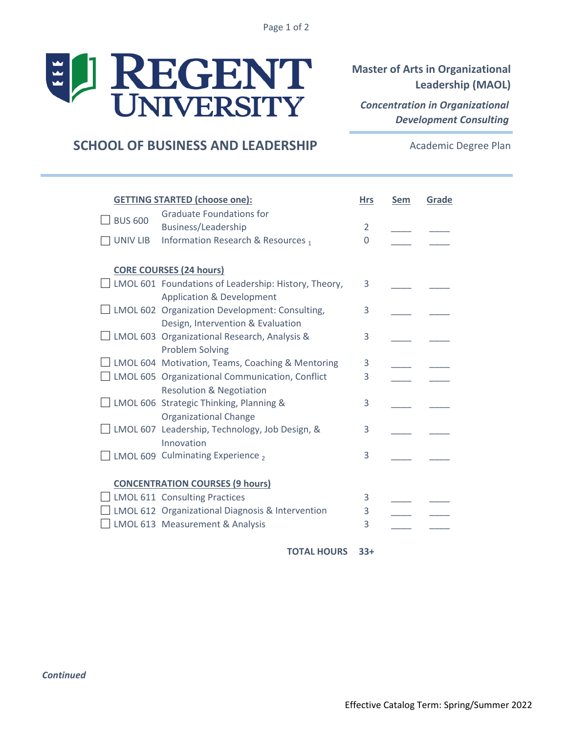Page 1 of 2

## EL REGENT

**Master of Arts in Organizational Leadership (MAOL)**

*Concentration in Organizational Development Consulting*

## **SCHOOL OF BUSINESS AND LEADERSHIP**

Academic Degree Plan

| <b>GETTING STARTED (choose one):</b> |                                                                                                     | <b>Hrs</b> | Sem | Grade |
|--------------------------------------|-----------------------------------------------------------------------------------------------------|------------|-----|-------|
| <b>BUS 600</b>                       | <b>Graduate Foundations for</b>                                                                     |            |     |       |
|                                      | Business/Leadership                                                                                 | 2          |     |       |
| UNIV LIB                             | Information Research & Resources 1                                                                  | $\Omega$   |     |       |
|                                      | <b>CORE COURSES (24 hours)</b>                                                                      |            |     |       |
|                                      | $\Box$ LMOL 601 Foundations of Leadership: History, Theory,<br><b>Application &amp; Development</b> | 3          |     |       |
|                                      | $\Box$ LMOL 602 Organization Development: Consulting,                                               | 3          |     |       |
|                                      | Design, Intervention & Evaluation<br>$\Box$ LMOL 603 Organizational Research, Analysis &            | 3          |     |       |
|                                      | <b>Problem Solving</b><br>$\Box$ LMOL 604 Motivation, Teams, Coaching & Mentoring                   | 3          |     |       |
|                                      | LMOL 605 Organizational Communication, Conflict<br><b>Resolution &amp; Negotiation</b>              | 3          |     |       |
|                                      | $\Box$ LMOL 606 Strategic Thinking, Planning &<br><b>Organizational Change</b>                      | 3          |     |       |
|                                      | △ LMOL 607 Leadership, Technology, Job Design, &<br>Innovation                                      | 3          |     |       |
|                                      | $\Box$ LMOL 609 Culminating Experience $_2$                                                         | 3          |     |       |
|                                      | <b>CONCENTRATION COURSES (9 hours)</b>                                                              |            |     |       |
|                                      | $\Box$ LMOL 611 Consulting Practices                                                                | 3          |     |       |
|                                      | $\Box$ LMOL 612 Organizational Diagnosis & Intervention                                             | 3          |     |       |
|                                      | LMOL 613 Measurement & Analysis                                                                     | 3          |     |       |

**33+ TOTAL HOURS**